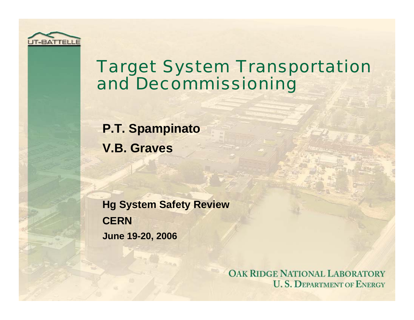

#### Target System Transportation and Decommissioning

**P.T. Spampinato V.B. Graves**

**Hg System Safety Review CERNJune 19-20, 2006**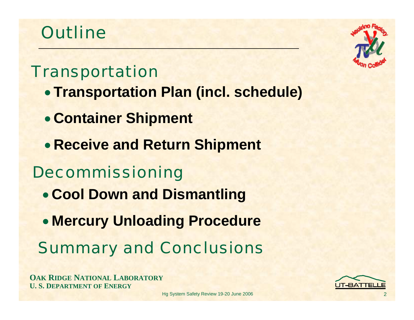### **Outline**

#### Transportation

- **Transportation Plan (incl. schedule)**
- **Container Shipment**
- **Receive and Return Shipment**

#### Decommissioning

- **Cool Down and Dismantling**
- **Mercury Unloading Procedure**
- Summary and Conclusions

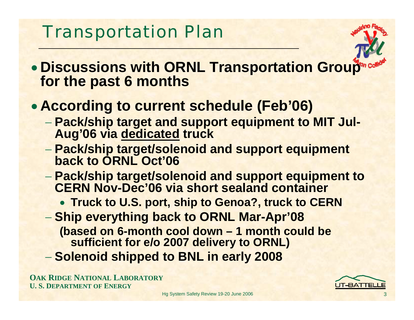### Transportation Plan



- **Discussions with ORNL Transportation Group for the past 6 months**
- **According to current schedule (Feb'06)**
	- **Pack/ship target and support equipment to MIT Jul-Aug'06 via dedicated truck**
	- **Pack/ship target/solenoid and support equipment back to ORNL Oct'06**
	- **Pack/ship target/solenoid and support equipment to CERN Nov-Dec'06 via short sealand container**
		- **Truck to U.S. port, ship to Genoa?, truck to CERN**
	- **Ship everything back to ORNL Mar-Apr'08 (based on 6-month cool down – 1 month could be sufficient for e/o 2007 delivery to ORNL)**
	- **Solenoid shipped to BNL in early 2008**

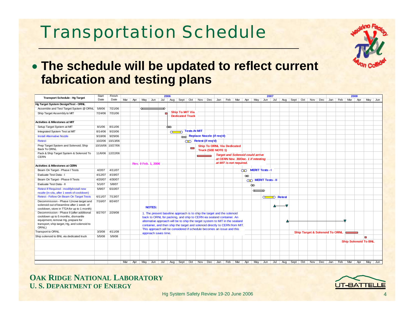# Transportation Schedule



| <b>Transport Schedule - Hg Target</b>                                                  | Start   | Finish            |         |                      |                      | 2006          |                        |                     |                             |                                                                         |                                                                                                                   |          |                        |                     | 2007     |                                    |  |  |                                | 2008 |                             |  |
|----------------------------------------------------------------------------------------|---------|-------------------|---------|----------------------|----------------------|---------------|------------------------|---------------------|-----------------------------|-------------------------------------------------------------------------|-------------------------------------------------------------------------------------------------------------------|----------|------------------------|---------------------|----------|------------------------------------|--|--|--------------------------------|------|-----------------------------|--|
|                                                                                        | Date    | Date              | Mar Apr |                      |                      |               |                        |                     |                             |                                                                         | May Jun Jul Aug Sept Oct Nov Dec Jan Feb Mar Apr May Jun Jul                                                      |          |                        |                     |          | Aug   Sept   Oct   Nov   Dec   Jan |  |  | Feb Mar                        | Apr  | May Jun                     |  |
| Hg Target System Design/Test - ORNL                                                    |         |                   |         |                      |                      |               |                        |                     |                             |                                                                         |                                                                                                                   |          |                        |                     |          |                                    |  |  |                                |      |                             |  |
| Assemble and Test Target System @ ORNL                                                 | 5/8/06  | 7/21/06           |         | $\sim$               |                      |               |                        |                     |                             |                                                                         |                                                                                                                   |          |                        |                     |          |                                    |  |  |                                |      |                             |  |
| Ship Target Assembly to MIT                                                            |         | 7/24/06 7/31/06   |         |                      |                      |               | <b>Ship To MIT Via</b> |                     |                             |                                                                         |                                                                                                                   |          |                        |                     |          |                                    |  |  |                                |      |                             |  |
|                                                                                        |         |                   |         |                      |                      |               | <b>Dedicated Truck</b> |                     |                             |                                                                         |                                                                                                                   |          |                        |                     |          |                                    |  |  |                                |      |                             |  |
| <b>Activities &amp; Milestones at MIT</b>                                              |         |                   |         |                      |                      |               |                        |                     |                             |                                                                         |                                                                                                                   |          |                        |                     |          |                                    |  |  |                                |      |                             |  |
| Setup Target System at MIT                                                             | 8/1/06  | 8/11/06           |         |                      |                      | ∞             |                        |                     |                             |                                                                         |                                                                                                                   |          |                        |                     |          |                                    |  |  |                                |      |                             |  |
| Integrated System Test at MIT                                                          | 8/14/06 | 9/15/06           |         |                      |                      | $\sim$ $\sim$ |                        | <b>Tests At MIT</b> |                             |                                                                         |                                                                                                                   |          |                        |                     |          |                                    |  |  |                                |      |                             |  |
| <b>Install Alternative Nozzle</b>                                                      |         | 9/18/06 9/29/06   |         |                      |                      |               |                        |                     |                             | Replace Nozzle (if req'd)                                               |                                                                                                                   |          |                        |                     |          |                                    |  |  |                                |      |                             |  |
| <b>Retest</b>                                                                          |         | 10/2/06 10/13/06  |         |                      |                      |               |                        |                     | <b>OD</b> Retest (if req'd) |                                                                         |                                                                                                                   |          |                        |                     |          |                                    |  |  |                                |      |                             |  |
| Prep Target System and Solenoid; Ship                                                  |         | 10/16/06 10/27/06 |         |                      |                      |               |                        |                     |                             | <b>Ship To ORNL Via Dedicated</b>                                       |                                                                                                                   |          |                        |                     |          |                                    |  |  |                                |      |                             |  |
| Back To ORNL                                                                           |         |                   |         |                      |                      |               |                        |                     |                             | <b>Truck (SEE NOTE 1)</b>                                               |                                                                                                                   |          |                        |                     |          |                                    |  |  |                                |      |                             |  |
| Pack & Ship Target System & Solenoid To                                                |         | 11/6/06 12/22/06  |         |                      |                      |               |                        |                     |                             |                                                                         | <b>Target and Solenoid could arrive</b>                                                                           |          |                        |                     |          |                                    |  |  |                                |      |                             |  |
| <b>CERN</b>                                                                            |         |                   |         |                      |                      |               |                        |                     |                             |                                                                         | at CERN Nov. 30/Dec. 1 if retesting                                                                               |          |                        |                     |          |                                    |  |  |                                |      |                             |  |
|                                                                                        |         |                   |         | -Rev. 0 Feb. 1, 2006 |                      |               |                        |                     |                             |                                                                         | at MIT is not required.                                                                                           |          |                        |                     |          |                                    |  |  |                                |      |                             |  |
| <b>Activities &amp; Milestones at CERN</b>                                             |         |                   |         |                      |                      |               |                        |                     |                             |                                                                         |                                                                                                                   |          |                        |                     |          |                                    |  |  |                                |      |                             |  |
| Beam On Target - Phase I Tests                                                         | 4/2/07  | 4/11/07           |         |                      |                      |               |                        |                     |                             |                                                                         |                                                                                                                   |          |                        | OD MERIT Tests - I  |          |                                    |  |  |                                |      |                             |  |
| Evaluate Test Data - I                                                                 | 4/12/07 | 4/19/07           |         |                      |                      |               |                        |                     |                             |                                                                         |                                                                                                                   | $\infty$ |                        |                     |          |                                    |  |  |                                |      |                             |  |
| Beam On Target - Phase II Tests                                                        | 4/20/07 | 4/30/07           |         |                      |                      |               |                        |                     |                             |                                                                         |                                                                                                                   |          |                        | OD MERIT Tests - II |          |                                    |  |  |                                |      |                             |  |
| Evaluate Test Data - II                                                                | 5/1/07  | 5/8/07            |         |                      |                      |               |                        |                     |                             |                                                                         |                                                                                                                   |          | ∞                      |                     |          |                                    |  |  |                                |      |                             |  |
| Retest If Required - modify/install new                                                | 5/9/07  | 6/10/07           |         |                      |                      |               |                        |                     |                             |                                                                         |                                                                                                                   |          | $\sigma$ $\rightarrow$ |                     |          |                                    |  |  |                                |      |                             |  |
| nozzle (in situ, after 1 week of cooldown)                                             |         |                   |         |                      |                      |               |                        |                     |                             |                                                                         |                                                                                                                   |          |                        |                     |          |                                    |  |  |                                |      |                             |  |
| Retest - Follow On Beam On Target Tests                                                | 6/11/07 | 7/13/07           |         |                      |                      |               |                        |                     |                             |                                                                         |                                                                                                                   |          |                        |                     | O Retest |                                    |  |  |                                |      |                             |  |
| Decommission - Phase I (move target and                                                |         | 7/16/07 8/24/07   |         |                      |                      |               |                        |                     |                             |                                                                         |                                                                                                                   |          |                        |                     |          |                                    |  |  |                                |      |                             |  |
| solenoid out of beamline after 1 week of<br>cooldown, store in TT2A for up to 1 month) |         |                   |         |                      | <b>NOTES:</b>        |               |                        |                     |                             |                                                                         |                                                                                                                   |          |                        |                     |          |                                    |  |  |                                |      |                             |  |
| Decommission - Phase II (after additional                                              | 8/27/07 | 2/29/08           |         |                      |                      |               |                        |                     |                             | 1. The present baseline approach is to ship the target and the solenoid |                                                                                                                   |          |                        |                     |          |                                    |  |  |                                |      |                             |  |
| cooldown up to 5 months, dismantle                                                     |         |                   |         |                      |                      |               |                        |                     |                             | back to ORNL for packing, and ship to CERN via sealand container. An    |                                                                                                                   |          |                        |                     |          |                                    |  |  |                                |      |                             |  |
| equipment, remove Hg, prepare for                                                      |         |                   |         |                      |                      |               |                        |                     |                             |                                                                         | alternative approach will be to ship the target system to MIT in the sealand                                      |          |                        |                     |          |                                    |  |  |                                |      |                             |  |
| transport, ship target, Hg, and solenoid to                                            |         |                   |         |                      |                      |               |                        |                     |                             |                                                                         | container, and then ship the target and solenoid directly to CERN from MIT.                                       |          |                        |                     |          |                                    |  |  |                                |      |                             |  |
| ORNL)                                                                                  |         |                   |         |                      |                      |               |                        |                     |                             | This approach will be considered if schedule becomes an issue and this  |                                                                                                                   |          |                        |                     |          |                                    |  |  |                                |      |                             |  |
| <b>Transport to ORNL</b>                                                               | 3/3/08  | 4/11/08           |         |                      | approach saves time. |               |                        |                     |                             |                                                                         |                                                                                                                   |          |                        |                     |          |                                    |  |  | Ship Target & Solenoid To ORNL |      |                             |  |
| Ship solenoid to BNL via dedicated truck                                               | 5/5/08  | 5/9/08            |         |                      |                      |               |                        |                     |                             |                                                                         |                                                                                                                   |          |                        |                     |          |                                    |  |  |                                |      | $\overline{\mathbf{m}}$     |  |
|                                                                                        |         |                   |         |                      |                      |               |                        |                     |                             |                                                                         |                                                                                                                   |          |                        |                     |          |                                    |  |  |                                |      | <b>Ship Solenoid To BNL</b> |  |
|                                                                                        |         |                   |         |                      |                      |               |                        |                     |                             |                                                                         |                                                                                                                   |          |                        |                     |          |                                    |  |  |                                |      |                             |  |
|                                                                                        |         |                   |         |                      |                      |               |                        |                     |                             |                                                                         |                                                                                                                   |          |                        |                     |          |                                    |  |  |                                |      |                             |  |
|                                                                                        |         |                   |         |                      |                      |               |                        |                     |                             |                                                                         |                                                                                                                   |          |                        |                     |          |                                    |  |  |                                |      |                             |  |
|                                                                                        |         |                   |         |                      |                      |               |                        |                     |                             |                                                                         |                                                                                                                   |          |                        |                     |          |                                    |  |  |                                |      |                             |  |
|                                                                                        |         |                   |         |                      |                      |               |                        |                     |                             |                                                                         | Mar Apr May Jun Jul Aug Sept Oct Nov Dec Jan Feb Mar Apr May Jun Jul Aug Sept Oct Nov Dec Jan Feb Mar Apr May Jun |          |                        |                     |          |                                    |  |  |                                |      |                             |  |

**OAK RIDGE NATIONAL LABORATORY U. S. DEPARTMENT OF ENERGY**

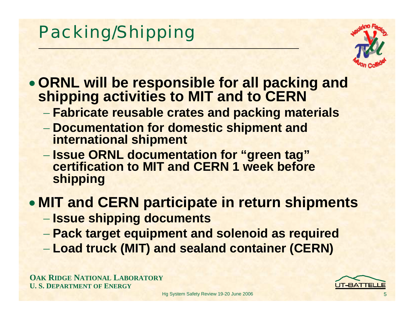# Packing/Shipping



- **ORNL will be responsible for all packing and shipping activities to MIT and to CERN**
	- **Fabricate reusable crates and packing materials**
	- **Documentation for domestic shipment and international shipment**
	- **Issue ORNL documentation for "green tag" certification to MIT and CERN 1 week before shipping**

#### • **MIT and CERN participate in return shipments**

- **Issue shipping documents**
- **Pack target equipment and solenoid as required**
- **Load truck (MIT) and sealand container (CERN)**

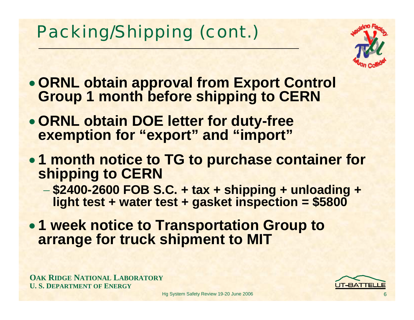# Packing/Shipping (cont.)



- **ORNL obtain approval from Export Control Group 1 month before shipping to CERN**
- **ORNL obtain DOE letter for duty-free exemption for "export" and "import"**
- **1 month notice to TG to purchase container for shipping to CERN**
	- **\$2400-2600 FOB S.C. + tax + shipping + unloading + light test + water test + gasket inspection = \$5800**
- **1 week notice to Transportation Group to arrange for truck shipment to MIT**

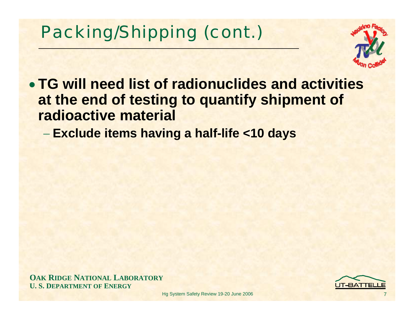# Packing/Shipping (cont.)



• **TG will need list of radionuclides and activities at the end of testing to quantify shipment of radioactive material**

**Exclude items having a half-life <10 days**

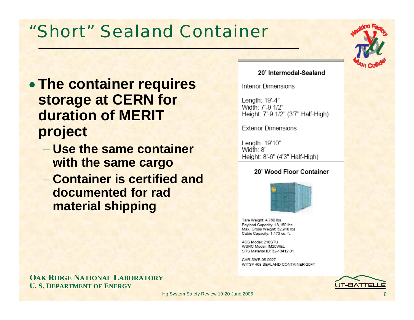#### "Short" Sealand Container

- **The container requires storage at CERN for duration of MERIT project**
	- − **Use the same container with the same cargo**
	- − **Container is certified and documented for radmaterial shipping**

#### 20' Intermodal-Sealand

**Interior Dimensions** 

Length: 19'-4" Width: 7'-9 1/2" Height: 7'-9 1/2" (3'7" Half-High)

**Exterior Dimensions** 

Lenath: 19'10" Width: 8' Height: 8'-6" (4'3" Half-High)

#### 20' Wood Floor Container



Tare Weight: 4,760 lbs Payload Capacity: 48,150 lbs Max. Gross Weight: 52,910 lbs Cubic Capacity: 1,173 cu. ft.

ACS Model: 210STU WSRC Model: IM20WEL SRS Material ID: 32-13412.01

CAR-SWE-95-0027 WITS# 468 SEALAND CONTAINER-20FT



**OAK RIDGE NATIONAL LABORATORY U. S. DEPARTMENT OF ENERGY**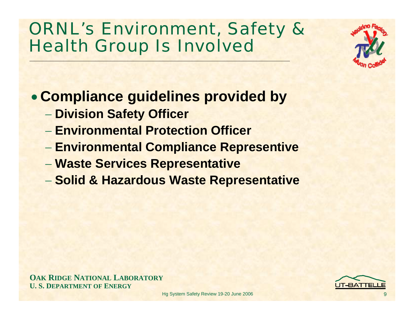#### ORNL's Environment, Safety & Health Group Is Involved

• **Compliance guidelines provided by**

- **Division Safety Officer**
- − **Environmental Protection Officer**
- **Environmental Compliance Representive**
- **Waste Services Representative**
- **Solid & Hazardous Waste Representative**

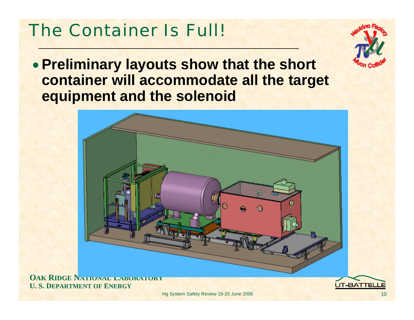### The Container Is Full!



• **Preliminary layouts show that the short container will accommodate all the target equipment and the solenoid**



**OAK RIDGE NATIONAL LABORATORY U. S. DEPARTMENT OF ENERGY**

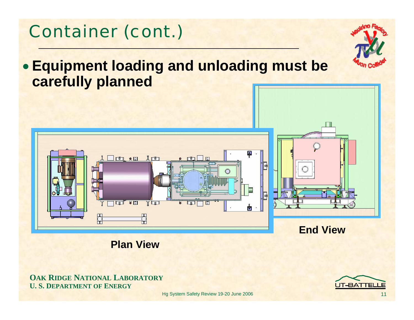

• **Equipment loading and unloading must be** 

**Plan View**

#### **OAK RIDGE NATIONAL LABORATORY U. S. DEPARTMENT OF ENERGY**

Container (cont.)

**carefully planned**

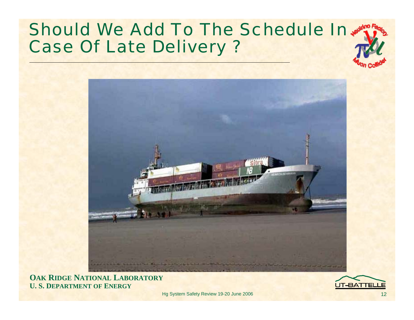#### Should We Add To The Schedule In Case Of Late Delivery ?



**OAK RIDGE NATIONAL LABORATORY U. S. DEPARTMENT OF ENERGY**

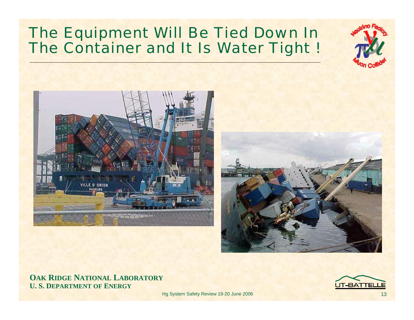#### The Equipment Will Be Tied Down In The Container and It Is Water Tight !





#### **OAK RIDGE NATIONAL LABORATORY U. S. DEPARTMENT OF ENERGY**

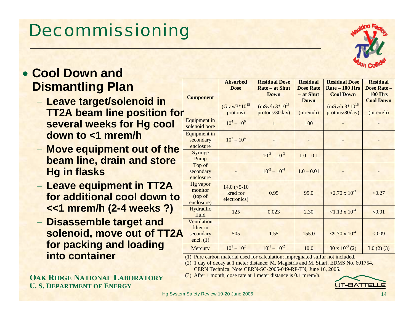14

# Decommissioning

#### • **Cool Down and Dismantling Plan**

- **Leave target/solenoid in TT2A beam line position for several weeks for Hg cool down to <1 mrem/h**
- **Move equipment out of the beam line, drain and store Hg in flasks**
- **Leave equipment in TT2A for additional cool down to <<1 mrem/h (2-4 weeks ?)**
- **Disassemble target and solenoid, move out of TT2A for packing and loading into container**

**OAKRIDGENATIONALLABORATORYU. S. DEPARTMENT OFENERGY**

|                                                      | <b>Absorbed</b><br><b>Dose</b>             | <b>Residual Dose</b><br><b>Rate – at Shut</b>        | <b>Residual</b><br><b>Dose Rate</b>  | <b>Residual Dose</b><br>$Rate - 100$ Hrs                  | <b>Residual</b><br><b>Dose Rate -</b>          |
|------------------------------------------------------|--------------------------------------------|------------------------------------------------------|--------------------------------------|-----------------------------------------------------------|------------------------------------------------|
| <b>Component</b>                                     | $(Gray/3*10^{15})$<br>protons)             | <b>Down</b><br>$(mSv/h 3*10^{15})$<br>protons/30day) | - at Shut<br><b>Down</b><br>(mrem/h) | <b>Cool Down</b><br>$(mSv/h 3*10^{15})$<br>protons/30day) | <b>100 Hrs</b><br><b>Cool Down</b><br>(mrem/h) |
| Equipment in<br>solenoid bore                        | $10^4 - 10^6$                              | 1                                                    | 100                                  |                                                           |                                                |
| <b>Equipment</b> in<br>secondary<br>enclosure        | $10^2 - 10^4$                              |                                                      |                                      |                                                           |                                                |
| Syringe<br>Pump                                      |                                            | $10^{-2} - 10^{-3}$                                  | $1.0 - 0.1$                          |                                                           |                                                |
| Top of<br>secondary<br>enclosure                     |                                            | $10^{-2} - 10^{-4}$                                  | $1.0 - 0.01$                         |                                                           |                                                |
| <b>Hg</b> vapor<br>monitor<br>(top of<br>enclosure)  | $14.0$ (<5-10)<br>krad for<br>electronics) | 0.95                                                 | 95.0                                 | $\langle 2.70 \times 10^{-3} \rangle$                     | < 0.27                                         |
| <b>Hydraulic</b><br>fluid                            | 125                                        | 0.023                                                | 2.30                                 | $\leq 1.13 \times 10^{-4}$                                | < 0.01                                         |
| Ventilation<br>filter in<br>secondary<br>encl. $(1)$ | 505                                        | 1.55                                                 | 155.0                                | $\approx$ 9.70 x 10 <sup>-4</sup>                         | < 0.09                                         |
| Mercury                                              | $10^{1} - 10^{2}$                          | $10^{-1} - 10^{-2}$                                  | 10.0                                 | $30 \times 10^{-3}$ (2)                                   | 3.0(2)(3)                                      |

(1) Pure carbon material used for calculation; impregnated sulfur not included.

(2) 1 day of decay at 1 meter distance; M. Magistris and M. Silari, EDMS No. 601754, CERN Technical Note CERN-SC-2005-049-RP-TN, June 16, 2005.

(3) After 1 month, dose rate at 1 meter distance is 0.1 mrem/h.



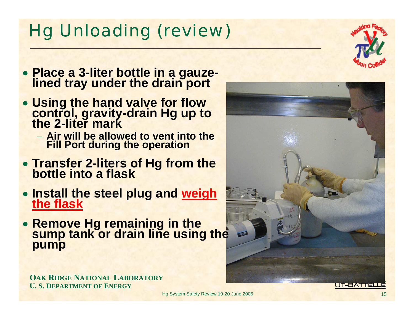Hg System Safety Review 19-20 June 2006

### Hg Unloading (review)

- **Place a 3-liter bottle in a gauze- lined tray under the drain port**
- **Using the hand valve for flow control, gravity-drain Hg up to the 2-liter mark**
	- − **Air will be allowed to vent into the Fill Port during the operation**
- **Transfer 2-liters of Hg from the bottle into a flask**
- **Install the steel plug and weigh the flask**the flask
- **Remove Hg remaining in the sump tank or drain line using the pump**